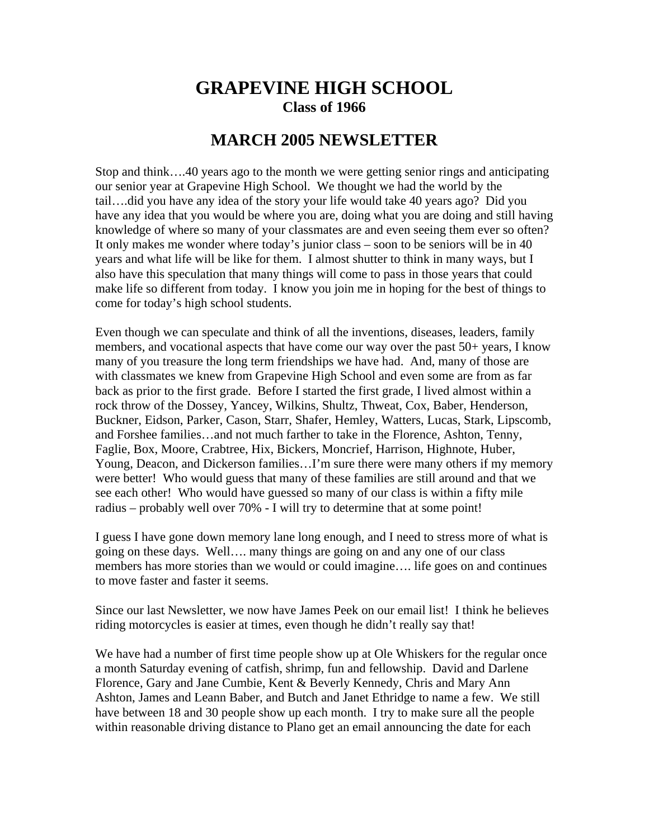## **GRAPEVINE HIGH SCHOOL Class of 1966**

## **MARCH 2005 NEWSLETTER**

Stop and think….40 years ago to the month we were getting senior rings and anticipating our senior year at Grapevine High School. We thought we had the world by the tail….did you have any idea of the story your life would take 40 years ago? Did you have any idea that you would be where you are, doing what you are doing and still having knowledge of where so many of your classmates are and even seeing them ever so often? It only makes me wonder where today's junior class – soon to be seniors will be in 40 years and what life will be like for them. I almost shutter to think in many ways, but I also have this speculation that many things will come to pass in those years that could make life so different from today. I know you join me in hoping for the best of things to come for today's high school students.

Even though we can speculate and think of all the inventions, diseases, leaders, family members, and vocational aspects that have come our way over the past 50+ years, I know many of you treasure the long term friendships we have had. And, many of those are with classmates we knew from Grapevine High School and even some are from as far back as prior to the first grade. Before I started the first grade, I lived almost within a rock throw of the Dossey, Yancey, Wilkins, Shultz, Thweat, Cox, Baber, Henderson, Buckner, Eidson, Parker, Cason, Starr, Shafer, Hemley, Watters, Lucas, Stark, Lipscomb, and Forshee families…and not much farther to take in the Florence, Ashton, Tenny, Faglie, Box, Moore, Crabtree, Hix, Bickers, Moncrief, Harrison, Highnote, Huber, Young, Deacon, and Dickerson families…I'm sure there were many others if my memory were better! Who would guess that many of these families are still around and that we see each other! Who would have guessed so many of our class is within a fifty mile radius – probably well over 70% - I will try to determine that at some point!

I guess I have gone down memory lane long enough, and I need to stress more of what is going on these days. Well…. many things are going on and any one of our class members has more stories than we would or could imagine…. life goes on and continues to move faster and faster it seems.

Since our last Newsletter, we now have James Peek on our email list! I think he believes riding motorcycles is easier at times, even though he didn't really say that!

We have had a number of first time people show up at Ole Whiskers for the regular once a month Saturday evening of catfish, shrimp, fun and fellowship. David and Darlene Florence, Gary and Jane Cumbie, Kent & Beverly Kennedy, Chris and Mary Ann Ashton, James and Leann Baber, and Butch and Janet Ethridge to name a few. We still have between 18 and 30 people show up each month. I try to make sure all the people within reasonable driving distance to Plano get an email announcing the date for each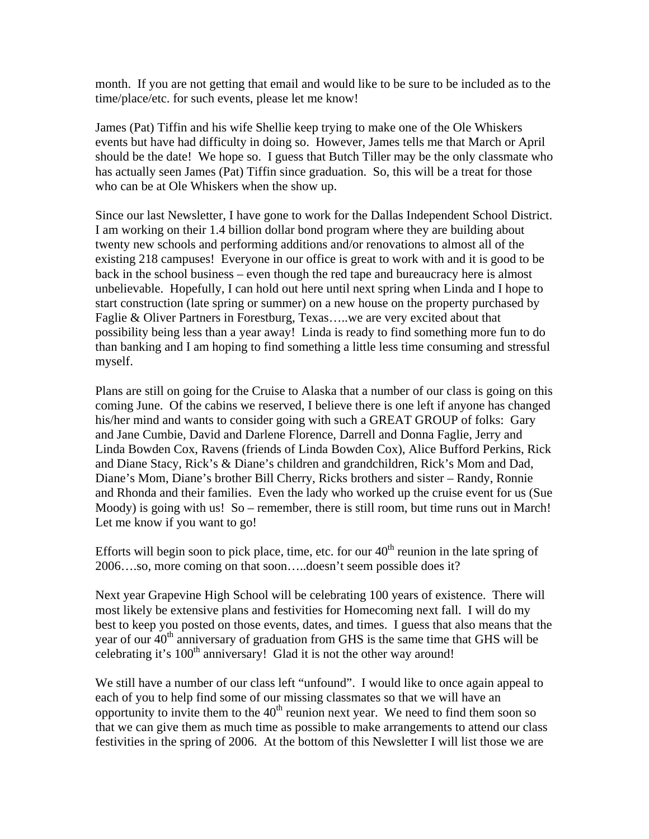month. If you are not getting that email and would like to be sure to be included as to the time/place/etc. for such events, please let me know!

James (Pat) Tiffin and his wife Shellie keep trying to make one of the Ole Whiskers events but have had difficulty in doing so. However, James tells me that March or April should be the date! We hope so. I guess that Butch Tiller may be the only classmate who has actually seen James (Pat) Tiffin since graduation. So, this will be a treat for those who can be at Ole Whiskers when the show up.

Since our last Newsletter, I have gone to work for the Dallas Independent School District. I am working on their 1.4 billion dollar bond program where they are building about twenty new schools and performing additions and/or renovations to almost all of the existing 218 campuses! Everyone in our office is great to work with and it is good to be back in the school business – even though the red tape and bureaucracy here is almost unbelievable. Hopefully, I can hold out here until next spring when Linda and I hope to start construction (late spring or summer) on a new house on the property purchased by Faglie & Oliver Partners in Forestburg, Texas…..we are very excited about that possibility being less than a year away! Linda is ready to find something more fun to do than banking and I am hoping to find something a little less time consuming and stressful myself.

Plans are still on going for the Cruise to Alaska that a number of our class is going on this coming June. Of the cabins we reserved, I believe there is one left if anyone has changed his/her mind and wants to consider going with such a GREAT GROUP of folks: Gary and Jane Cumbie, David and Darlene Florence, Darrell and Donna Faglie, Jerry and Linda Bowden Cox, Ravens (friends of Linda Bowden Cox), Alice Bufford Perkins, Rick and Diane Stacy, Rick's & Diane's children and grandchildren, Rick's Mom and Dad, Diane's Mom, Diane's brother Bill Cherry, Ricks brothers and sister – Randy, Ronnie and Rhonda and their families. Even the lady who worked up the cruise event for us (Sue Moody) is going with us! So – remember, there is still room, but time runs out in March! Let me know if you want to go!

Efforts will begin soon to pick place, time, etc. for our  $40<sup>th</sup>$  reunion in the late spring of 2006….so, more coming on that soon…..doesn't seem possible does it?

Next year Grapevine High School will be celebrating 100 years of existence. There will most likely be extensive plans and festivities for Homecoming next fall. I will do my best to keep you posted on those events, dates, and times. I guess that also means that the year of our  $40<sup>th</sup>$  anniversary of graduation from GHS is the same time that GHS will be celebrating it's  $100<sup>th</sup>$  anniversary! Glad it is not the other way around!

We still have a number of our class left "unfound". I would like to once again appeal to each of you to help find some of our missing classmates so that we will have an opportunity to invite them to the  $40<sup>th</sup>$  reunion next year. We need to find them soon so that we can give them as much time as possible to make arrangements to attend our class festivities in the spring of 2006. At the bottom of this Newsletter I will list those we are